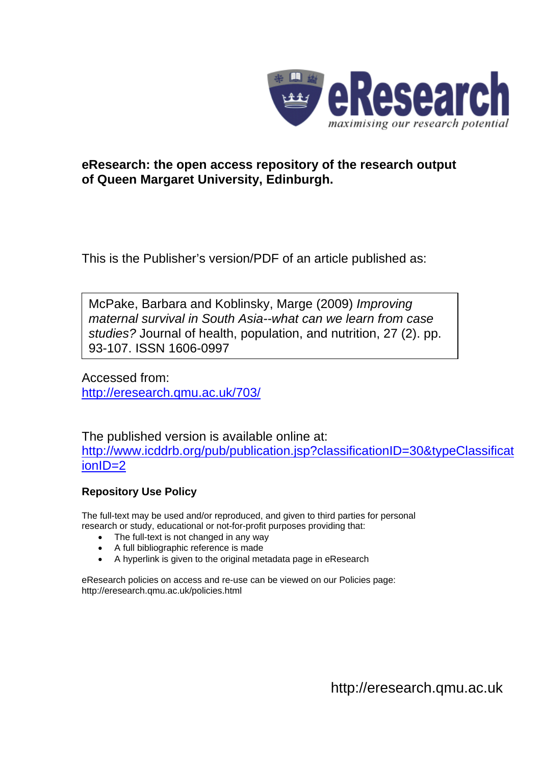

## **eResearch: the open access repository of the research output of Queen Margaret University, Edinburgh.**

This is the Publisher's version/PDF of an article published as:

McPake, Barbara and Koblinsky, Marge (2009) *Improving maternal survival in South Asia--what can we learn from case studies?* Journal of health, population, and nutrition, 27 (2). pp. 93-107. ISSN 1606-0997

Accessed from: <http://eresearch.qmu.ac.uk/703/>

The published version is available online at: [http://www.icddrb.org/pub/publication.jsp?classificationID=30&typeClassificat](http://www.icddrb.org/pub/publication.jsp?classificationID=30&typeClassificationID=2) [ionID=2](http://www.icddrb.org/pub/publication.jsp?classificationID=30&typeClassificationID=2)

## **Repository Use Policy**

The full-text may be used and/or reproduced, and given to third parties for personal research or study, educational or not-for-profit purposes providing that:

- The full-text is not changed in any way
- A full bibliographic reference is made
- A hyperlink is given to the original metadata page in eResearch

eResearch policies on access and re-use can be viewed on our Policies page: <http://eresearch.qmu.ac.uk/policies.html>

[http://eresearch.qmu.ac.uk](http://eresearch.qmu.ac.uk/)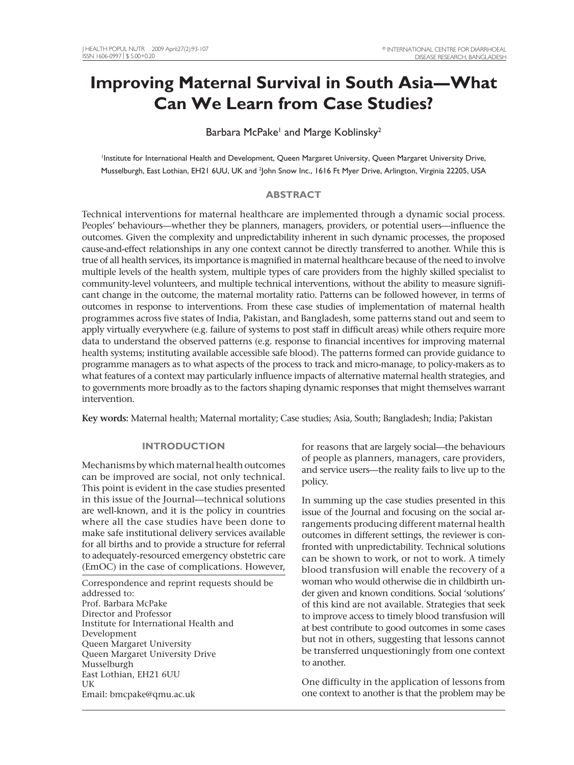# **Improving Maternal Survival in South Asia—What Can We Learn from Case Studies?**

### Barbara McPake<sup>1</sup> and Marge Koblinsky<sup>2</sup>

1 Institute for International Health and Development, Queen Margaret University, Queen Margaret University Drive, Musselburgh, East Lothian, EH21 6UU, UK and <sup>2</sup>John Snow Inc., 1616 Ft Myer Drive, Arlington, Virginia 22205, USA

#### **ABSTRACT**

Technical interventions for maternal healthcare are implemented through a dynamic social process. Peoples' behaviours—whether they be planners, managers, providers, or potential users—influence the outcomes. Given the complexity and unpredictability inherent in such dynamic processes, the proposed cause-and-effect relationships in any one context cannot be directly transferred to another. While this is true of all health services, its importance is magnified in maternal healthcare because of the need to involve multiple levels of the health system, multiple types of care providers from the highly skilled specialist to community-level volunteers, and multiple technical interventions, without the ability to measure significant change in the outcome, the maternal mortality ratio. Patterns can be followed however, in terms of outcomes in response to interventions. From these case studies of implementation of maternal health programmes across five states of India, Pakistan, and Bangladesh, some patterns stand out and seem to apply virtually everywhere (e.g. failure of systems to post staff in difficult areas) while others require more data to understand the observed patterns (e.g. response to financial incentives for improving maternal health systems; instituting available accessible safe blood). The patterns formed can provide guidance to programme managers as to what aspects of the process to track and micro-manage, to policy-makers as to what features of a context may particularly influence impacts of alternative maternal health strategies, and to governments more broadly as to the factors shaping dynamic responses that might themselves warrant intervention.

**Key words:** Maternal health; Maternal mortality; Case studies; Asia, South; Bangladesh; India; Pakistan

#### **INTRODUCTION**

Mechanisms by which maternal health outcomes can be improved are social, not only technical. This point is evident in the case studies presented in this issue of the Journal—technical solutions are well-known, and it is the policy in countries where all the case studies have been done to make safe institutional delivery services available for all births and to provide a structure for referral to adequately-resourced emergency obstetric care (EmOC) in the case of complications. However,

Correspondence and reprint requests should be addressed to: Prof. Barbara McPake Director and Professor Institute for International Health and Development Queen Margaret University Queen Margaret University Drive Musselburgh East Lothian, EH21 6UU UK Email: bmcpake@qmu.ac.uk

for reasons that are largely social—the behaviours of people as planners, managers, care providers, and service users—the reality fails to live up to the policy.

In summing up the case studies presented in this issue of the Journal and focusing on the social arrangements producing different maternal health outcomes in different settings, the reviewer is confronted with unpredictability. Technical solutions can be shown to work, or not to work. A timely blood transfusion will enable the recovery of a woman who would otherwise die in childbirth under given and known conditions. Social 'solutions' of this kind are not available. Strategies that seek to improve access to timely blood transfusion will at best contribute to good outcomes in some cases but not in others, suggesting that lessons cannot be transferred unquestioningly from one context to another.

One difficulty in the application of lessons from one context to another is that the problem may be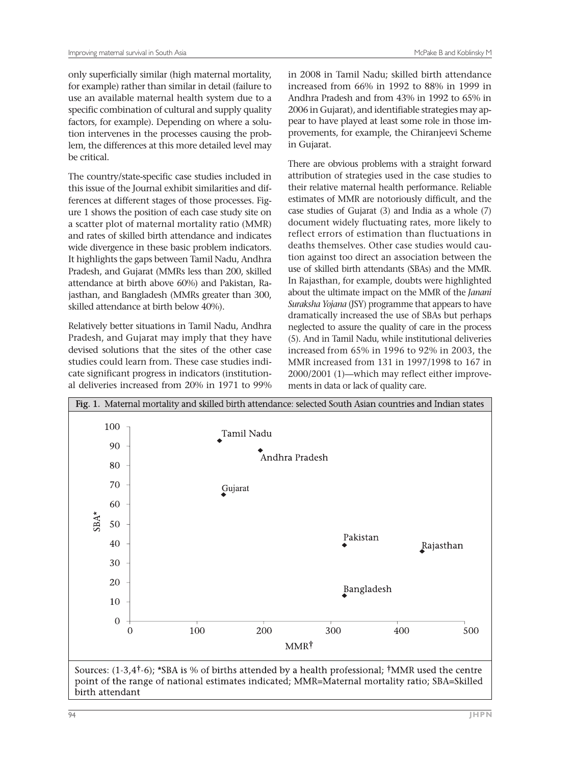only superficially similar (high maternal mortality, for example) rather than similar in detail (failure to use an available maternal health system due to a specific combination of cultural and supply quality factors, for example). Depending on where a solution intervenes in the processes causing the problem, the differences at this more detailed level may be critical.

The country/state-specific case studies included in this issue of the Journal exhibit similarities and differences at different stages of those processes. Figure 1 shows the position of each case study site on a scatter plot of maternal mortality ratio (MMR) and rates of skilled birth attendance and indicates wide divergence in these basic problem indicators. It highlights the gaps between Tamil Nadu, Andhra Pradesh, and Gujarat (MMRs less than 200, skilled attendance at birth above 60%) and Pakistan, Rajasthan, and Bangladesh (MMRs greater than 300, skilled attendance at birth below 40%).

Relatively better situations in Tamil Nadu, Andhra Pradesh, and Gujarat may imply that they have devised solutions that the sites of the other case studies could learn from. These case studies indicate significant progress in indicators (institutional deliveries increased from 20% in 1971 to 99% in 2008 in Tamil Nadu; skilled birth attendance increased from 66% in 1992 to 88% in 1999 in Andhra Pradesh and from 43% in 1992 to 65% in 2006 in Gujarat), and identifiable strategies may appear to have played at least some role in those improvements, for example, the Chiranjeevi Scheme in Gujarat.

There are obvious problems with a straight forward attribution of strategies used in the case studies to their relative maternal health performance. Reliable estimates of MMR are notoriously difficult, and the case studies of Gujarat (3) and India as a whole (7) document widely fluctuating rates, more likely to reflect errors of estimation than fluctuations in deaths themselves. Other case studies would caution against too direct an association between the use of skilled birth attendants (SBAs) and the MMR. In Rajasthan, for example, doubts were highlighted about the ultimate impact on the MMR of the *Janani Suraksha Yojana* (JSY) programme that appears to have dramatically increased the use of SBAs but perhaps neglected to assure the quality of care in the process (5). And in Tamil Nadu, while institutional deliveries increased from 65% in 1996 to 92% in 2003, the MMR increased from 131 in 1997/1998 to 167 in 2000/2001 (1)—which may reflect either improvements in data or lack of quality care.

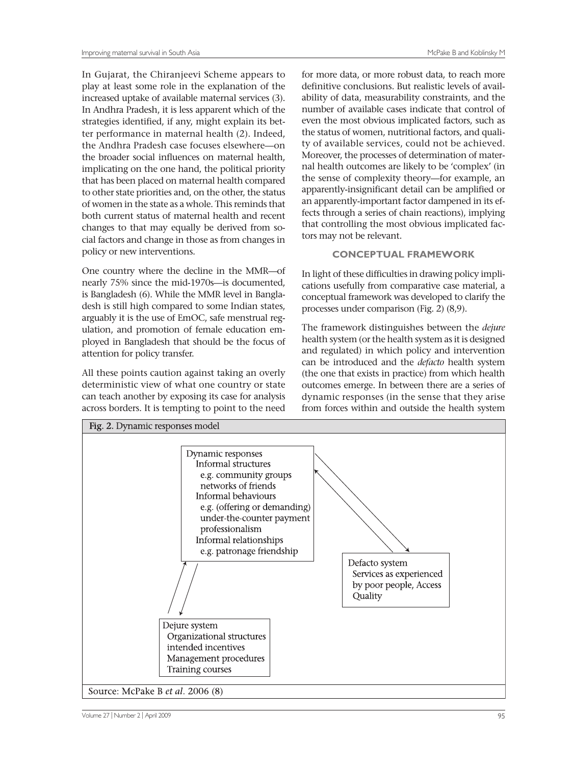In Gujarat, the Chiranjeevi Scheme appears to play at least some role in the explanation of the increased uptake of available maternal services (3). In Andhra Pradesh, it is less apparent which of the strategies identified, if any, might explain its better performance in maternal health (2). Indeed, the Andhra Pradesh case focuses elsewhere—on the broader social influences on maternal health, implicating on the one hand, the political priority that has been placed on maternal health compared to other state priorities and, on the other, the status of women in the state as a whole. This reminds that both current status of maternal health and recent changes to that may equally be derived from social factors and change in those as from changes in policy or new interventions.

One country where the decline in the MMR—of nearly 75% since the mid-1970s—is documented, is Bangladesh (6). While the MMR level in Bangladesh is still high compared to some Indian states, arguably it is the use of EmOC, safe menstrual regulation, and promotion of female education employed in Bangladesh that should be the focus of attention for policy transfer.

All these points caution against taking an overly deterministic view of what one country or state can teach another by exposing its case for analysis across borders. It is tempting to point to the need

for more data, or more robust data, to reach more definitive conclusions. But realistic levels of availability of data, measurability constraints, and the number of available cases indicate that control of even the most obvious implicated factors, such as the status of women, nutritional factors, and quality of available services, could not be achieved. Moreover, the processes of determination of maternal health outcomes are likely to be 'complex' (in the sense of complexity theory—for example, an apparently-insignificant detail can be amplified or an apparently-important factor dampened in its effects through a series of chain reactions), implying that controlling the most obvious implicated factors may not be relevant.

#### **CONCEPTUAL FRAMEWORK**

In light of these difficulties in drawing policy implications usefully from comparative case material, a conceptual framework was developed to clarify the processes under comparison (Fig. 2) (8,9).

The framework distinguishes between the *dejure* health system (or the health system as it is designed and regulated) in which policy and intervention can be introduced and the *defacto* health system (the one that exists in practice) from which health outcomes emerge. In between there are a series of dynamic responses (in the sense that they arise from forces within and outside the health system

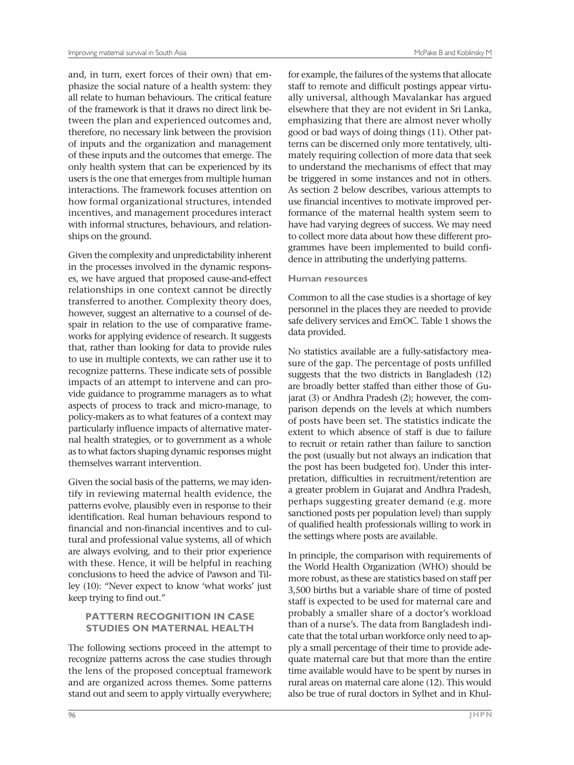and, in turn, exert forces of their own) that emphasize the social nature of a health system: they all relate to human behaviours. The critical feature of the framework is that it draws no direct link between the plan and experienced outcomes and, therefore, no necessary link between the provision of inputs and the organization and management of these inputs and the outcomes that emerge. The only health system that can be experienced by its users is the one that emerges from multiple human interactions. The framework focuses attention on how formal organizational structures, intended incentives, and management procedures interact with informal structures, behaviours, and relationships on the ground.

Given the complexity and unpredictability inherent in the processes involved in the dynamic responses, we have argued that proposed cause-and-effect relationships in one context cannot be directly transferred to another. Complexity theory does, however, suggest an alternative to a counsel of despair in relation to the use of comparative frameworks for applying evidence of research. It suggests that, rather than looking for data to provide rules to use in multiple contexts, we can rather use it to recognize patterns. These indicate sets of possible impacts of an attempt to intervene and can provide guidance to programme managers as to what aspects of process to track and micro-manage, to policy-makers as to what features of a context may particularly influence impacts of alternative maternal health strategies, or to government as a whole as to what factors shaping dynamic responses might themselves warrant intervention.

Given the social basis of the patterns, we may identify in reviewing maternal health evidence, the patterns evolve, plausibly even in response to their identification. Real human behaviours respond to financial and non-financial incentives and to cultural and professional value systems, all of which are always evolving, and to their prior experience with these. Hence, it will be helpful in reaching conclusions to heed the advice of Pawson and Tilley (10): "Never expect to know 'what works' just keep trying to find out."

#### **PATTERN RECOGNITION IN CASE STUDIES ON MATERNAL HEALTH**

The following sections proceed in the attempt to recognize patterns across the case studies through the lens of the proposed conceptual framework and are organized across themes. Some patterns stand out and seem to apply virtually everywhere;

for example, the failures of the systems that allocate staff to remote and difficult postings appear virtually universal, although Mavalankar has argued elsewhere that they are not evident in Sri Lanka, emphasizing that there are almost never wholly good or bad ways of doing things (11). Other patterns can be discerned only more tentatively, ultimately requiring collection of more data that seek to understand the mechanisms of effect that may be triggered in some instances and not in others. As section 2 below describes, various attempts to use financial incentives to motivate improved performance of the maternal health system seem to have had varying degrees of success. We may need to collect more data about how these different programmes have been implemented to build confidence in attributing the underlying patterns.

#### **Human resources**

Common to all the case studies is a shortage of key personnel in the places they are needed to provide safe delivery services and EmOC. Table 1 shows the data provided.

No statistics available are a fully-satisfactory measure of the gap. The percentage of posts unfilled suggests that the two districts in Bangladesh (12) are broadly better staffed than either those of Gujarat (3) or Andhra Pradesh (2); however, the comparison depends on the levels at which numbers of posts have been set. The statistics indicate the extent to which absence of staff is due to failure to recruit or retain rather than failure to sanction the post (usually but not always an indication that the post has been budgeted for). Under this interpretation, difficulties in recruitment/retention are a greater problem in Gujarat and Andhra Pradesh, perhaps suggesting greater demand (e.g. more sanctioned posts per population level) than supply of qualified health professionals willing to work in the settings where posts are available.

In principle, the comparison with requirements of the World Health Organization (WHO) should be more robust, as these are statistics based on staff per 3,500 births but a variable share of time of posted staff is expected to be used for maternal care and probably a smaller share of a doctor's workload than of a nurse's. The data from Bangladesh indicate that the total urban workforce only need to apply a small percentage of their time to provide adequate maternal care but that more than the entire time available would have to be spent by nurses in rural areas on maternal care alone (12). This would also be true of rural doctors in Sylhet and in Khul-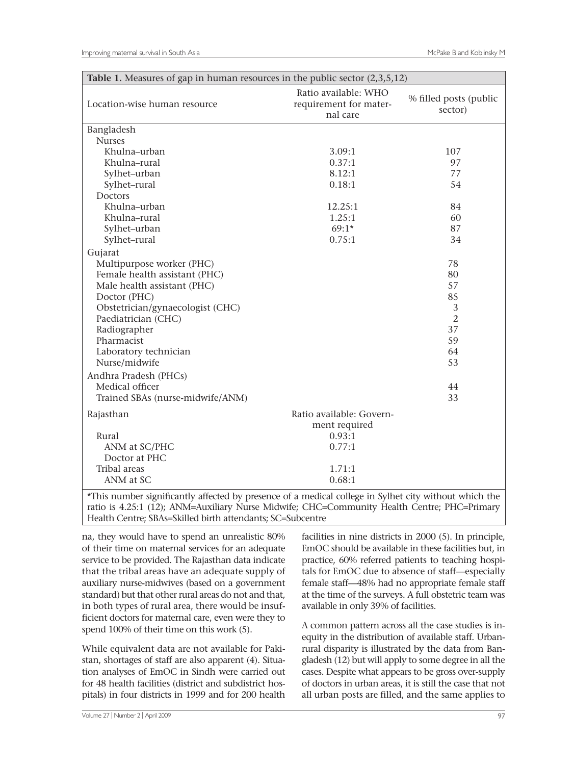| Table 1. Measures of gap in human resources in the public sector $(2,3,5,12)$ |                                                            |                                   |  |  |  |  |
|-------------------------------------------------------------------------------|------------------------------------------------------------|-----------------------------------|--|--|--|--|
| Location-wise human resource                                                  | Ratio available: WHO<br>requirement for mater-<br>nal care | % filled posts (public<br>sector) |  |  |  |  |
| Bangladesh                                                                    |                                                            |                                   |  |  |  |  |
| <b>Nurses</b>                                                                 |                                                            |                                   |  |  |  |  |
| Khulna-urban                                                                  | 3.09:1                                                     | 107                               |  |  |  |  |
| Khulna-rural                                                                  | 0.37:1                                                     | 97                                |  |  |  |  |
| Sylhet-urban                                                                  | 8.12:1                                                     | 77                                |  |  |  |  |
| Sylhet-rural                                                                  | 0.18:1                                                     | 54                                |  |  |  |  |
| Doctors                                                                       |                                                            |                                   |  |  |  |  |
| Khulna-urban                                                                  | 12.25:1                                                    | 84                                |  |  |  |  |
| Khulna-rural                                                                  | 1.25:1                                                     | 60                                |  |  |  |  |
| Sylhet-urban                                                                  | $69:1*$                                                    | 87                                |  |  |  |  |
| Sylhet-rural                                                                  | 0.75:1                                                     | 34                                |  |  |  |  |
| Gujarat                                                                       |                                                            |                                   |  |  |  |  |
| Multipurpose worker (PHC)                                                     |                                                            | 78                                |  |  |  |  |
| Female health assistant (PHC)                                                 |                                                            | 80                                |  |  |  |  |
| Male health assistant (PHC)                                                   |                                                            | 57                                |  |  |  |  |
| Doctor (PHC)                                                                  |                                                            | 85                                |  |  |  |  |
| Obstetrician/gynaecologist (CHC)                                              |                                                            | 3                                 |  |  |  |  |
| Paediatrician (CHC)                                                           |                                                            | $\overline{2}$                    |  |  |  |  |
| Radiographer                                                                  |                                                            | 37                                |  |  |  |  |
| Pharmacist                                                                    |                                                            | 59                                |  |  |  |  |
| Laboratory technician                                                         |                                                            | 64                                |  |  |  |  |
| Nurse/midwife                                                                 |                                                            | 53                                |  |  |  |  |
| Andhra Pradesh (PHCs)                                                         |                                                            |                                   |  |  |  |  |
| Medical officer                                                               |                                                            | 44                                |  |  |  |  |
| Trained SBAs (nurse-midwife/ANM)                                              |                                                            | 33                                |  |  |  |  |
| Rajasthan                                                                     | Ratio available: Govern-                                   |                                   |  |  |  |  |
|                                                                               | ment required                                              |                                   |  |  |  |  |
| Rural                                                                         | 0.93:1                                                     |                                   |  |  |  |  |
| ANM at SC/PHC                                                                 | 0.77:1                                                     |                                   |  |  |  |  |
| Doctor at PHC                                                                 |                                                            |                                   |  |  |  |  |
| Tribal areas                                                                  | 1.71:1                                                     |                                   |  |  |  |  |
| ANM at SC                                                                     | 0.68:1                                                     |                                   |  |  |  |  |
|                                                                               |                                                            |                                   |  |  |  |  |

\*This number significantly affected by presence of a medical college in Sylhet city without which the ratio is 4.25:1 (12); ANM=Auxiliary Nurse Midwife; CHC=Community Health Centre; PHC=Primary Health Centre; SBAs=Skilled birth attendants; SC=Subcentre

na, they would have to spend an unrealistic 80% of their time on maternal services for an adequate service to be provided. The Rajasthan data indicate that the tribal areas have an adequate supply of auxiliary nurse-midwives (based on a government standard) but that other rural areas do not and that, in both types of rural area, there would be insufficient doctors for maternal care, even were they to spend 100% of their time on this work (5).

While equivalent data are not available for Pakistan, shortages of staff are also apparent (4). Situation analyses of EmOC in Sindh were carried out for 48 health facilities (district and subdistrict hospitals) in four districts in 1999 and for 200 health

facilities in nine districts in 2000 (5). In principle, EmOC should be available in these facilities but, in practice, 60% referred patients to teaching hospitals for EmOC due to absence of staff—especially female staff—48% had no appropriate female staff at the time of the surveys. A full obstetric team was available in only 39% of facilities.

A common pattern across all the case studies is inequity in the distribution of available staff. Urbanrural disparity is illustrated by the data from Bangladesh (12) but will apply to some degree in all the cases. Despite what appears to be gross over-supply of doctors in urban areas, it is still the case that not all urban posts are filled, and the same applies to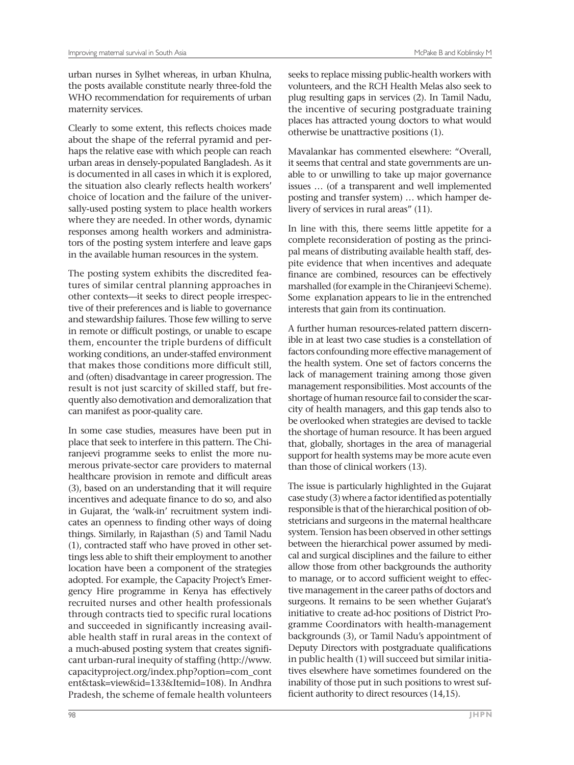maternity services.

urban nurses in Sylhet whereas, in urban Khulna, the posts available constitute nearly three-fold the WHO recommendation for requirements of urban

Clearly to some extent, this reflects choices made about the shape of the referral pyramid and perhaps the relative ease with which people can reach urban areas in densely-populated Bangladesh. As it is documented in all cases in which it is explored, the situation also clearly reflects health workers' choice of location and the failure of the universally-used posting system to place health workers where they are needed. In other words, dynamic responses among health workers and administrators of the posting system interfere and leave gaps in the available human resources in the system.

The posting system exhibits the discredited features of similar central planning approaches in other contexts—it seeks to direct people irrespective of their preferences and is liable to governance and stewardship failures. Those few willing to serve in remote or difficult postings, or unable to escape them, encounter the triple burdens of difficult working conditions, an under-staffed environment that makes those conditions more difficult still, and (often) disadvantage in career progression. The result is not just scarcity of skilled staff, but frequently also demotivation and demoralization that can manifest as poor-quality care.

In some case studies, measures have been put in place that seek to interfere in this pattern. The Chiranjeevi programme seeks to enlist the more numerous private-sector care providers to maternal healthcare provision in remote and difficult areas (3), based on an understanding that it will require incentives and adequate finance to do so, and also in Gujarat, the 'walk-in' recruitment system indicates an openness to finding other ways of doing things. Similarly, in Rajasthan (5) and Tamil Nadu (1), contracted staff who have proved in other settings less able to shift their employment to another location have been a component of the strategies adopted. For example, the Capacity Project's Emergency Hire programme in Kenya has effectively recruited nurses and other health professionals through contracts tied to specific rural locations and succeeded in significantly increasing available health staff in rural areas in the context of a much-abused posting system that creates significant urban-rural inequity of staffing (http://www. capacityproject.org/index.php?option=com\_cont ent&task=view&id=133&Itemid=108). In Andhra Pradesh, the scheme of female health volunteers

seeks to replace missing public-health workers with volunteers, and the RCH Health Melas also seek to plug resulting gaps in services (2). In Tamil Nadu, the incentive of securing postgraduate training places has attracted young doctors to what would otherwise be unattractive positions (1).

Mavalankar has commented elsewhere: "Overall, it seems that central and state governments are unable to or unwilling to take up major governance issues … (of a transparent and well implemented posting and transfer system) … which hamper delivery of services in rural areas" (11).

In line with this, there seems little appetite for a complete reconsideration of posting as the principal means of distributing available health staff, despite evidence that when incentives and adequate finance are combined, resources can be effectively marshalled (for example in the Chiranjeevi Scheme). Some explanation appears to lie in the entrenched interests that gain from its continuation.

A further human resources-related pattern discernible in at least two case studies is a constellation of factors confounding more effective management of the health system. One set of factors concerns the lack of management training among those given management responsibilities. Most accounts of the shortage of human resource fail to consider the scarcity of health managers, and this gap tends also to be overlooked when strategies are devised to tackle the shortage of human resource. It has been argued that, globally, shortages in the area of managerial support for health systems may be more acute even than those of clinical workers (13).

The issue is particularly highlighted in the Gujarat case study (3) where a factor identified as potentially responsible is that of the hierarchical position of obstetricians and surgeons in the maternal healthcare system. Tension has been observed in other settings between the hierarchical power assumed by medical and surgical disciplines and the failure to either allow those from other backgrounds the authority to manage, or to accord sufficient weight to effective management in the career paths of doctors and surgeons. It remains to be seen whether Gujarat's initiative to create ad-hoc positions of District Programme Coordinators with health-management backgrounds (3), or Tamil Nadu's appointment of Deputy Directors with postgraduate qualifications in public health (1) will succeed but similar initiatives elsewhere have sometimes foundered on the inability of those put in such positions to wrest sufficient authority to direct resources (14,15).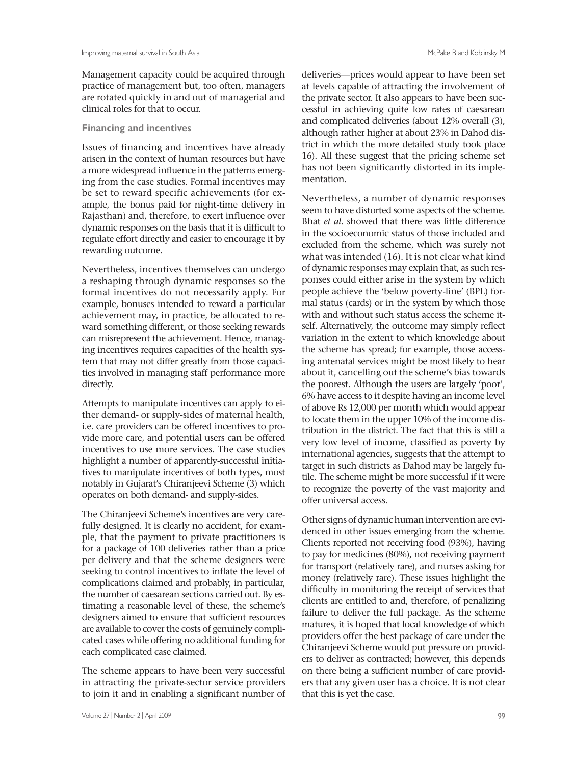Management capacity could be acquired through practice of management but, too often, managers are rotated quickly in and out of managerial and clinical roles for that to occur.

#### **Financing and incentives**

Issues of financing and incentives have already arisen in the context of human resources but have a more widespread influence in the patterns emerging from the case studies. Formal incentives may be set to reward specific achievements (for example, the bonus paid for night-time delivery in Rajasthan) and, therefore, to exert influence over dynamic responses on the basis that it is difficult to regulate effort directly and easier to encourage it by rewarding outcome.

Nevertheless, incentives themselves can undergo a reshaping through dynamic responses so the formal incentives do not necessarily apply. For example, bonuses intended to reward a particular achievement may, in practice, be allocated to reward something different, or those seeking rewards can misrepresent the achievement. Hence, managing incentives requires capacities of the health system that may not differ greatly from those capacities involved in managing staff performance more directly.

Attempts to manipulate incentives can apply to either demand- or supply-sides of maternal health, i.e. care providers can be offered incentives to provide more care, and potential users can be offered incentives to use more services. The case studies highlight a number of apparently-successful initiatives to manipulate incentives of both types, most notably in Gujarat's Chiranjeevi Scheme (3) which operates on both demand- and supply-sides.

The Chiranjeevi Scheme's incentives are very carefully designed. It is clearly no accident, for example, that the payment to private practitioners is for a package of 100 deliveries rather than a price per delivery and that the scheme designers were seeking to control incentives to inflate the level of complications claimed and probably, in particular, the number of caesarean sections carried out. By estimating a reasonable level of these, the scheme's designers aimed to ensure that sufficient resources are available to cover the costs of genuinely complicated cases while offering no additional funding for each complicated case claimed.

The scheme appears to have been very successful in attracting the private-sector service providers to join it and in enabling a significant number of

deliveries—prices would appear to have been set at levels capable of attracting the involvement of the private sector. It also appears to have been successful in achieving quite low rates of caesarean and complicated deliveries (about 12% overall (3), although rather higher at about 23% in Dahod district in which the more detailed study took place 16). All these suggest that the pricing scheme set has not been significantly distorted in its implementation.

Nevertheless, a number of dynamic responses seem to have distorted some aspects of the scheme. Bhat *et al*. showed that there was little difference in the socioeconomic status of those included and excluded from the scheme, which was surely not what was intended (16). It is not clear what kind of dynamic responses may explain that, as such responses could either arise in the system by which people achieve the 'below poverty-line' (BPL) formal status (cards) or in the system by which those with and without such status access the scheme itself. Alternatively, the outcome may simply reflect variation in the extent to which knowledge about the scheme has spread; for example, those accessing antenatal services might be most likely to hear about it, cancelling out the scheme's bias towards the poorest. Although the users are largely 'poor', 6% have access to it despite having an income level of above Rs 12,000 per month which would appear to locate them in the upper 10% of the income distribution in the district. The fact that this is still a very low level of income, classified as poverty by international agencies, suggests that the attempt to target in such districts as Dahod may be largely futile. The scheme might be more successful if it were to recognize the poverty of the vast majority and offer universal access.

Other signs of dynamic human intervention are evidenced in other issues emerging from the scheme. Clients reported not receiving food (93%), having to pay for medicines (80%), not receiving payment for transport (relatively rare), and nurses asking for money (relatively rare). These issues highlight the difficulty in monitoring the receipt of services that clients are entitled to and, therefore, of penalizing failure to deliver the full package. As the scheme matures, it is hoped that local knowledge of which providers offer the best package of care under the Chiranjeevi Scheme would put pressure on providers to deliver as contracted; however, this depends on there being a sufficient number of care providers that any given user has a choice. It is not clear that this is yet the case.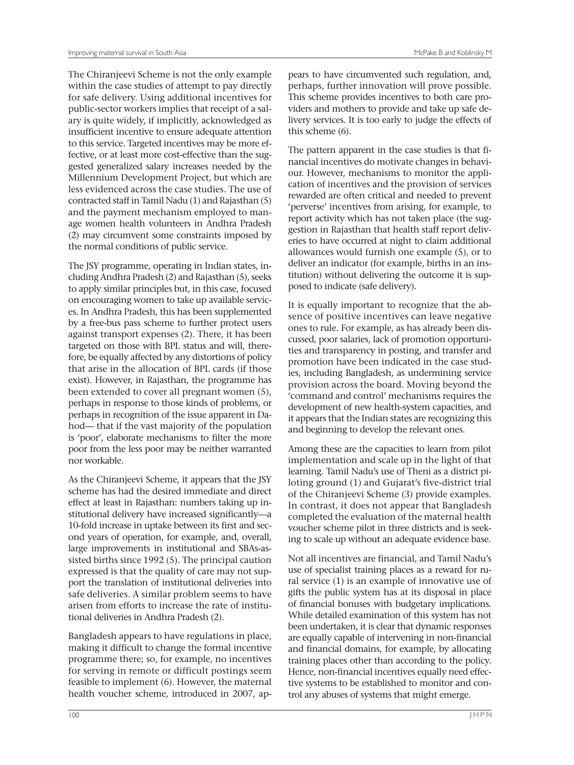The Chiranjeevi Scheme is not the only example within the case studies of attempt to pay directly for safe delivery. Using additional incentives for public-sector workers implies that receipt of a salary is quite widely, if implicitly, acknowledged as insufficient incentive to ensure adequate attention to this service. Targeted incentives may be more effective, or at least more cost-effective than the suggested generalized salary increases needed by the Millennium Development Project, but which are less evidenced across the case studies. The use of contracted staff in Tamil Nadu (1) and Rajasthan (5) and the payment mechanism employed to manage women health volunteers in Andhra Pradesh (2) may circumvent some constraints imposed by the normal conditions of public service.

The JSY programme, operating in Indian states, including Andhra Pradesh (2) and Rajasthan (5), seeks to apply similar principles but, in this case, focused on encouraging women to take up available services. In Andhra Pradesh, this has been supplemented by a free-bus pass scheme to further protect users against transport expenses (2). There, it has been targeted on those with BPL status and will, therefore, be equally affected by any distortions of policy that arise in the allocation of BPL cards (if those exist). However, in Rajasthan, the programme has been extended to cover all pregnant women (5), perhaps in response to those kinds of problems, or perhaps in recognition of the issue apparent in Dahod— that if the vast majority of the population is 'poor', elaborate mechanisms to filter the more poor from the less poor may be neither warranted nor workable.

As the Chiranjeevi Scheme, it appears that the JSY scheme has had the desired immediate and direct effect at least in Rajasthan: numbers taking up institutional delivery have increased significantly—a 10-fold increase in uptake between its first and second years of operation, for example, and, overall, large improvements in institutional and SBAs-assisted births since 1992 (5). The principal caution expressed is that the quality of care may not support the translation of institutional deliveries into safe deliveries. A similar problem seems to have arisen from efforts to increase the rate of institutional deliveries in Andhra Pradesh (2).

Bangladesh appears to have regulations in place, making it difficult to change the formal incentive programme there; so, for example, no incentives for serving in remote or difficult postings seem feasible to implement (6). However, the maternal health voucher scheme, introduced in 2007, apThe pattern apparent in the case studies is that financial incentives do motivate changes in behaviour. However, mechanisms to monitor the application of incentives and the provision of services rewarded are often critical and needed to prevent 'perverse' incentives from arising, for example, to report activity which has not taken place (the suggestion in Rajasthan that health staff report deliveries to have occurred at night to claim additional allowances would furnish one example (5), or to deliver an indicator (for example, births in an institution) without delivering the outcome it is supposed to indicate (safe delivery).

livery services. It is too early to judge the effects of

this scheme (6).

It is equally important to recognize that the absence of positive incentives can leave negative ones to rule. For example, as has already been discussed, poor salaries, lack of promotion opportunities and transparency in posting, and transfer and promotion have been indicated in the case studies, including Bangladesh, as undermining service provision across the board. Moving beyond the 'command and control' mechanisms requires the development of new health-system capacities, and it appears that the Indian states are recognizing this and beginning to develop the relevant ones.

Among these are the capacities to learn from pilot implementation and scale up in the light of that learning. Tamil Nadu's use of Theni as a district piloting ground (1) and Gujarat's five-district trial of the Chiranjeevi Scheme (3) provide examples. In contrast, it does not appear that Bangladesh completed the evaluation of the maternal health voucher scheme pilot in three districts and is seeking to scale up without an adequate evidence base.

Not all incentives are financial, and Tamil Nadu's use of specialist training places as a reward for rural service (1) is an example of innovative use of gifts the public system has at its disposal in place of financial bonuses with budgetary implications. While detailed examination of this system has not been undertaken, it is clear that dynamic responses are equally capable of intervening in non-financial and financial domains, for example, by allocating training places other than according to the policy. Hence, non-financial incentives equally need effective systems to be established to monitor and control any abuses of systems that might emerge.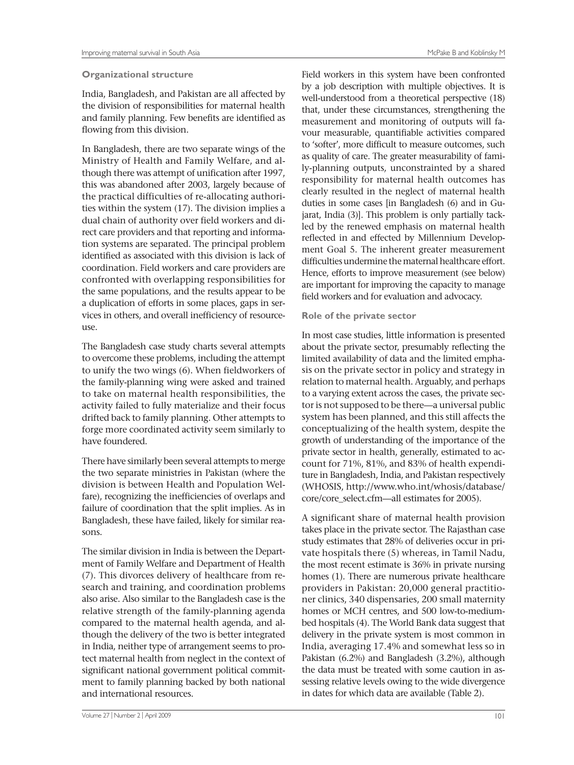#### **Organizational structure**

India, Bangladesh, and Pakistan are all affected by the division of responsibilities for maternal health and family planning. Few benefits are identified as flowing from this division.

In Bangladesh, there are two separate wings of the Ministry of Health and Family Welfare, and although there was attempt of unification after 1997, this was abandoned after 2003, largely because of the practical difficulties of re-allocating authorities within the system (17). The division implies a dual chain of authority over field workers and direct care providers and that reporting and information systems are separated. The principal problem identified as associated with this division is lack of coordination. Field workers and care providers are confronted with overlapping responsibilities for the same populations, and the results appear to be a duplication of efforts in some places, gaps in services in others, and overall inefficiency of resourceuse.

The Bangladesh case study charts several attempts to overcome these problems, including the attempt to unify the two wings (6). When fieldworkers of the family-planning wing were asked and trained to take on maternal health responsibilities, the activity failed to fully materialize and their focus drifted back to family planning. Other attempts to forge more coordinated activity seem similarly to have foundered.

There have similarly been several attempts to merge the two separate ministries in Pakistan (where the division is between Health and Population Welfare), recognizing the inefficiencies of overlaps and failure of coordination that the split implies. As in Bangladesh, these have failed, likely for similar reasons.

The similar division in India is between the Department of Family Welfare and Department of Health (7). This divorces delivery of healthcare from research and training, and coordination problems also arise. Also similar to the Bangladesh case is the relative strength of the family-planning agenda compared to the maternal health agenda, and although the delivery of the two is better integrated in India, neither type of arrangement seems to protect maternal health from neglect in the context of significant national government political commitment to family planning backed by both national and international resources.

Field workers in this system have been confronted by a job description with multiple objectives. It is well-understood from a theoretical perspective (18) that, under these circumstances, strengthening the measurement and monitoring of outputs will favour measurable, quantifiable activities compared to 'softer', more difficult to measure outcomes, such as quality of care. The greater measurability of family-planning outputs, unconstrainted by a shared responsibility for maternal health outcomes has clearly resulted in the neglect of maternal health duties in some cases [in Bangladesh (6) and in Gujarat, India (3)]. This problem is only partially tackled by the renewed emphasis on maternal health reflected in and effected by Millennium Development Goal 5. The inherent greater measurement difficulties undermine the maternal healthcare effort. Hence, efforts to improve measurement (see below) are important for improving the capacity to manage field workers and for evaluation and advocacy.

#### **Role of the private sector**

In most case studies, little information is presented about the private sector, presumably reflecting the limited availability of data and the limited emphasis on the private sector in policy and strategy in relation to maternal health. Arguably, and perhaps to a varying extent across the cases, the private sector is not supposed to be there—a universal public system has been planned, and this still affects the conceptualizing of the health system, despite the growth of understanding of the importance of the private sector in health, generally, estimated to account for 71%, 81%, and 83% of health expenditure in Bangladesh, India, and Pakistan respectively (WHOSIS, http://www.who.int/whosis/database/ core/core\_select.cfm—all estimates for 2005).

A significant share of maternal health provision takes place in the private sector. The Rajasthan case study estimates that 28% of deliveries occur in private hospitals there (5) whereas, in Tamil Nadu, the most recent estimate is 36% in private nursing homes (1). There are numerous private healthcare providers in Pakistan: 20,000 general practitioner clinics, 340 dispensaries, 200 small maternity homes or MCH centres, and 500 low-to-mediumbed hospitals (4). The World Bank data suggest that delivery in the private system is most common in India, averaging 17.4% and somewhat less so in Pakistan (6.2%) and Bangladesh (3.2%), although the data must be treated with some caution in assessing relative levels owing to the wide divergence in dates for which data are available (Table 2).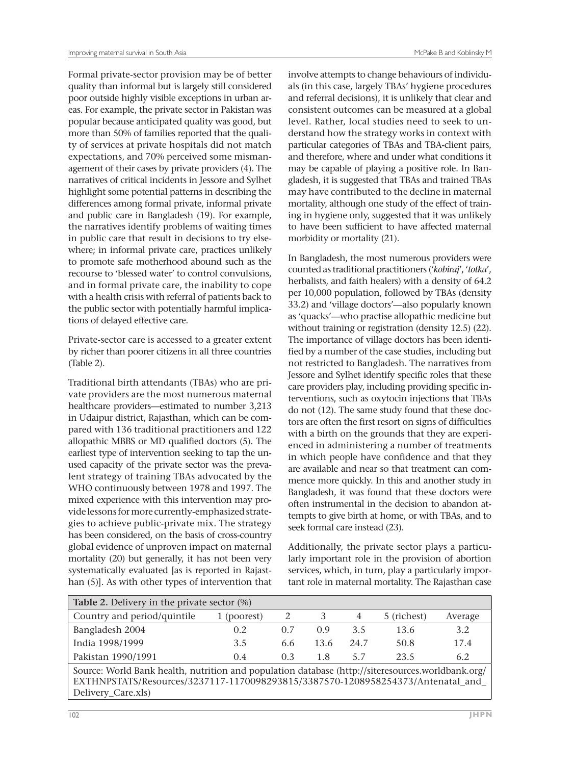Formal private-sector provision may be of better quality than informal but is largely still considered poor outside highly visible exceptions in urban areas. For example, the private sector in Pakistan was popular because anticipated quality was good, but more than 50% of families reported that the quality of services at private hospitals did not match expectations, and 70% perceived some mismanagement of their cases by private providers (4). The narratives of critical incidents in Jessore and Sylhet highlight some potential patterns in describing the differences among formal private, informal private and public care in Bangladesh (19). For example, the narratives identify problems of waiting times in public care that result in decisions to try elsewhere; in informal private care, practices unlikely to promote safe motherhood abound such as the recourse to 'blessed water' to control convulsions, and in formal private care, the inability to cope with a health crisis with referral of patients back to the public sector with potentially harmful implications of delayed effective care.

Private-sector care is accessed to a greater extent by richer than poorer citizens in all three countries (Table 2).

Traditional birth attendants (TBAs) who are private providers are the most numerous maternal healthcare providers—estimated to number 3,213 in Udaipur district, Rajasthan, which can be compared with 136 traditional practitioners and 122 allopathic MBBS or MD qualified doctors (5). The earliest type of intervention seeking to tap the unused capacity of the private sector was the prevalent strategy of training TBAs advocated by the WHO continuously between 1978 and 1997. The mixed experience with this intervention may provide lessons for more currently-emphasized strategies to achieve public-private mix. The strategy has been considered, on the basis of cross-country global evidence of unproven impact on maternal mortality (20) but generally, it has not been very systematically evaluated [as is reported in Rajasthan (5)]. As with other types of intervention that

involve attempts to change behaviours of individuals (in this case, largely TBAs' hygiene procedures and referral decisions), it is unlikely that clear and consistent outcomes can be measured at a global level. Rather, local studies need to seek to understand how the strategy works in context with particular categories of TBAs and TBA-client pairs, and therefore, where and under what conditions it may be capable of playing a positive role. In Bangladesh, it is suggested that TBAs and trained TBAs may have contributed to the decline in maternal mortality, although one study of the effect of training in hygiene only, suggested that it was unlikely to have been sufficient to have affected maternal morbidity or mortality (21).

In Bangladesh, the most numerous providers were counted as traditional practitioners ('*kobiraj*', '*totka*', herbalists, and faith healers) with a density of 64.2 per 10,000 population, followed by TBAs (density 33.2) and 'village doctors'—also popularly known as 'quacks'—who practise allopathic medicine but without training or registration (density 12.5) (22). The importance of village doctors has been identified by a number of the case studies, including but not restricted to Bangladesh. The narratives from Jessore and Sylhet identify specific roles that these care providers play, including providing specific interventions, such as oxytocin injections that TBAs do not (12). The same study found that these doctors are often the first resort on signs of difficulties with a birth on the grounds that they are experienced in administering a number of treatments in which people have confidence and that they are available and near so that treatment can commence more quickly. In this and another study in Bangladesh, it was found that these doctors were often instrumental in the decision to abandon attempts to give birth at home, or with TBAs, and to seek formal care instead (23).

Additionally, the private sector plays a particularly important role in the provision of abortion services, which, in turn, play a particularly important role in maternal mortality. The Rajasthan case

| Table 2. Delivery in the private sector (%)                                                                                                                                                                 |             |     |       |      |             |         |  |
|-------------------------------------------------------------------------------------------------------------------------------------------------------------------------------------------------------------|-------------|-----|-------|------|-------------|---------|--|
| Country and period/quintile                                                                                                                                                                                 | 1 (poorest) | 2   |       | 4    | 5 (richest) | Average |  |
| Bangladesh 2004                                                                                                                                                                                             | 0.2         | 0.7 | (0.9) | 3.5  | 13.6        | 3.2     |  |
| India 1998/1999                                                                                                                                                                                             | 3.5         | 6.6 | 13.6  | 24.7 | 50.8        | 17.4    |  |
| Pakistan 1990/1991                                                                                                                                                                                          | 0.4         | 0.3 | 1.8   | 5.7  | 23.5        | 6.2     |  |
| Source: World Bank health, nutrition and population database (http://siteresources.worldbank.org/<br>EXTHNPSTATS/Resources/3237117-1170098293815/3387570-1208958254373/Antenatal_and_<br>Delivery_Care.xls) |             |     |       |      |             |         |  |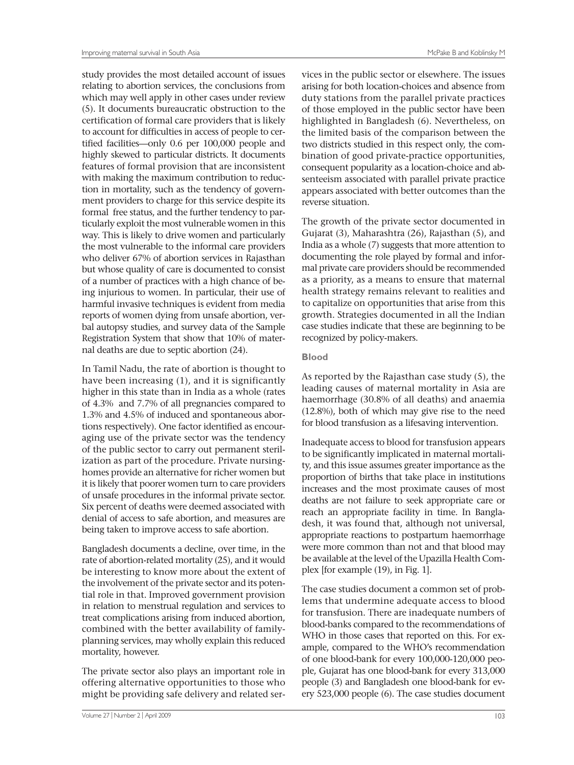study provides the most detailed account of issues relating to abortion services, the conclusions from which may well apply in other cases under review (5). It documents bureaucratic obstruction to the certification of formal care providers that is likely to account for difficulties in access of people to certified facilities—only 0.6 per 100,000 people and highly skewed to particular districts. It documents features of formal provision that are inconsistent with making the maximum contribution to reduction in mortality, such as the tendency of government providers to charge for this service despite its formal free status, and the further tendency to particularly exploit the most vulnerable women in this way. This is likely to drive women and particularly the most vulnerable to the informal care providers who deliver 67% of abortion services in Rajasthan but whose quality of care is documented to consist of a number of practices with a high chance of being injurious to women. In particular, their use of harmful invasive techniques is evident from media reports of women dying from unsafe abortion, verbal autopsy studies, and survey data of the Sample Registration System that show that 10% of maternal deaths are due to septic abortion (24).

In Tamil Nadu, the rate of abortion is thought to have been increasing (1), and it is significantly higher in this state than in India as a whole (rates of 4.3% and 7.7% of all pregnancies compared to 1.3% and 4.5% of induced and spontaneous abortions respectively). One factor identified as encouraging use of the private sector was the tendency of the public sector to carry out permanent sterilization as part of the procedure. Private nursinghomes provide an alternative for richer women but it is likely that poorer women turn to care providers of unsafe procedures in the informal private sector. Six percent of deaths were deemed associated with denial of access to safe abortion, and measures are being taken to improve access to safe abortion.

Bangladesh documents a decline, over time, in the rate of abortion-related mortality (25), and it would be interesting to know more about the extent of the involvement of the private sector and its potential role in that. Improved government provision in relation to menstrual regulation and services to treat complications arising from induced abortion, combined with the better availability of familyplanning services, may wholly explain this reduced mortality, however.

The private sector also plays an important role in offering alternative opportunities to those who might be providing safe delivery and related ser-

vices in the public sector or elsewhere. The issues arising for both location-choices and absence from duty stations from the parallel private practices of those employed in the public sector have been highlighted in Bangladesh (6). Nevertheless, on the limited basis of the comparison between the two districts studied in this respect only, the combination of good private-practice opportunities, consequent popularity as a location-choice and absenteeism associated with parallel private practice appears associated with better outcomes than the reverse situation.

The growth of the private sector documented in Gujarat (3), Maharashtra (26), Rajasthan (5), and India as a whole (7) suggests that more attention to documenting the role played by formal and informal private care providers should be recommended as a priority, as a means to ensure that maternal health strategy remains relevant to realities and to capitalize on opportunities that arise from this growth. Strategies documented in all the Indian case studies indicate that these are beginning to be recognized by policy-makers.

#### **Blood**

As reported by the Rajasthan case study (5), the leading causes of maternal mortality in Asia are haemorrhage (30.8% of all deaths) and anaemia (12.8%), both of which may give rise to the need for blood transfusion as a lifesaving intervention.

Inadequate access to blood for transfusion appears to be significantly implicated in maternal mortality, and this issue assumes greater importance as the proportion of births that take place in institutions increases and the most proximate causes of most deaths are not failure to seek appropriate care or reach an appropriate facility in time. In Bangladesh, it was found that, although not universal, appropriate reactions to postpartum haemorrhage were more common than not and that blood may be available at the level of the Upazilla Health Complex [for example (19), in Fig. 1].

The case studies document a common set of problems that undermine adequate access to blood for transfusion. There are inadequate numbers of blood-banks compared to the recommendations of WHO in those cases that reported on this. For example, compared to the WHO's recommendation of one blood-bank for every 100,000-120,000 people, Gujarat has one blood-bank for every 313,000 people (3) and Bangladesh one blood-bank for every 523,000 people (6). The case studies document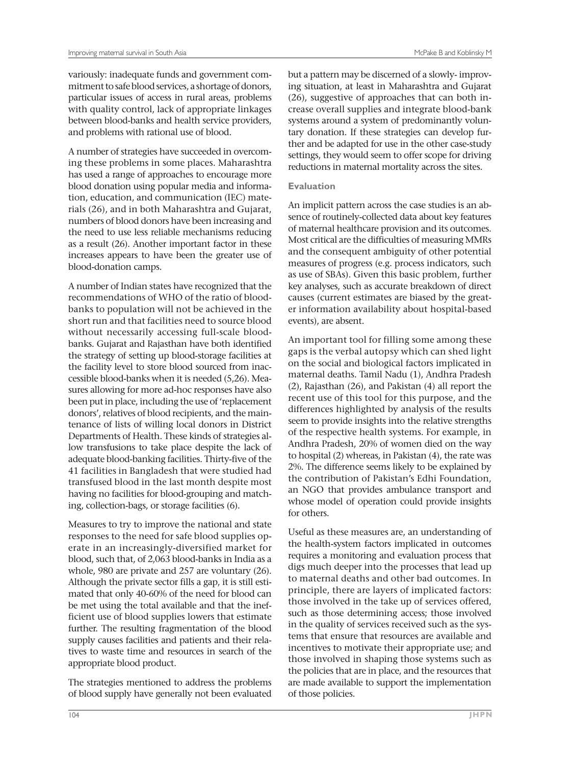variously: inadequate funds and government commitment to safe blood services, a shortage of donors, particular issues of access in rural areas, problems with quality control, lack of appropriate linkages between blood-banks and health service providers, and problems with rational use of blood.

A number of strategies have succeeded in overcoming these problems in some places. Maharashtra has used a range of approaches to encourage more blood donation using popular media and information, education, and communication (IEC) materials (26), and in both Maharashtra and Gujarat, numbers of blood donors have been increasing and the need to use less reliable mechanisms reducing as a result (26). Another important factor in these increases appears to have been the greater use of blood-donation camps.

A number of Indian states have recognized that the recommendations of WHO of the ratio of bloodbanks to population will not be achieved in the short run and that facilities need to source blood without necessarily accessing full-scale bloodbanks. Gujarat and Rajasthan have both identified the strategy of setting up blood-storage facilities at the facility level to store blood sourced from inaccessible blood-banks when it is needed (5,26). Measures allowing for more ad-hoc responses have also been put in place, including the use of 'replacement donors', relatives of blood recipients, and the maintenance of lists of willing local donors in District Departments of Health. These kinds of strategies allow transfusions to take place despite the lack of adequate blood-banking facilities. Thirty-five of the 41 facilities in Bangladesh that were studied had transfused blood in the last month despite most having no facilities for blood-grouping and matching, collection-bags, or storage facilities (6).

Measures to try to improve the national and state responses to the need for safe blood supplies operate in an increasingly-diversified market for blood, such that, of 2,063 blood-banks in India as a whole, 980 are private and 257 are voluntary (26). Although the private sector fills a gap, it is still estimated that only 40-60% of the need for blood can be met using the total available and that the inefficient use of blood supplies lowers that estimate further. The resulting fragmentation of the blood supply causes facilities and patients and their relatives to waste time and resources in search of the appropriate blood product.

The strategies mentioned to address the problems of blood supply have generally not been evaluated

but a pattern may be discerned of a slowly- improving situation, at least in Maharashtra and Gujarat (26), suggestive of approaches that can both increase overall supplies and integrate blood-bank systems around a system of predominantly voluntary donation. If these strategies can develop further and be adapted for use in the other case-study settings, they would seem to offer scope for driving reductions in maternal mortality across the sites.

#### **Evaluation**

An implicit pattern across the case studies is an absence of routinely-collected data about key features of maternal healthcare provision and its outcomes. Most critical are the difficulties of measuring MMRs and the consequent ambiguity of other potential measures of progress (e.g. process indicators, such as use of SBAs). Given this basic problem, further key analyses, such as accurate breakdown of direct causes (current estimates are biased by the greater information availability about hospital-based events), are absent.

An important tool for filling some among these gaps is the verbal autopsy which can shed light on the social and biological factors implicated in maternal deaths. Tamil Nadu (1), Andhra Pradesh (2), Rajasthan (26), and Pakistan (4) all report the recent use of this tool for this purpose, and the differences highlighted by analysis of the results seem to provide insights into the relative strengths of the respective health systems. For example, in Andhra Pradesh, 20% of women died on the way to hospital (2) whereas, in Pakistan (4), the rate was 2%. The difference seems likely to be explained by the contribution of Pakistan's Edhi Foundation, an NGO that provides ambulance transport and whose model of operation could provide insights for others.

Useful as these measures are, an understanding of the health-system factors implicated in outcomes requires a monitoring and evaluation process that digs much deeper into the processes that lead up to maternal deaths and other bad outcomes. In principle, there are layers of implicated factors: those involved in the take up of services offered, such as those determining access; those involved in the quality of services received such as the systems that ensure that resources are available and incentives to motivate their appropriate use; and those involved in shaping those systems such as the policies that are in place, and the resources that are made available to support the implementation of those policies.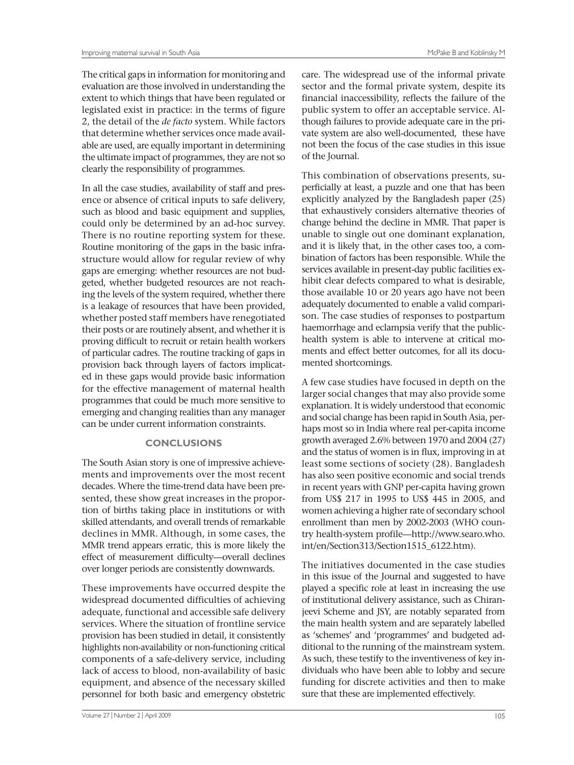The critical gaps in information for monitoring and evaluation are those involved in understanding the extent to which things that have been regulated or legislated exist in practice: in the terms of figure 2, the detail of the *de facto* system. While factors that determine whether services once made available are used, are equally important in determining the ultimate impact of programmes, they are not so clearly the responsibility of programmes.

In all the case studies, availability of staff and presence or absence of critical inputs to safe delivery, such as blood and basic equipment and supplies, could only be determined by an ad-hoc survey. There is no routine reporting system for these. Routine monitoring of the gaps in the basic infrastructure would allow for regular review of why gaps are emerging: whether resources are not budgeted, whether budgeted resources are not reaching the levels of the system required, whether there is a leakage of resources that have been provided, whether posted staff members have renegotiated their posts or are routinely absent, and whether it is proving difficult to recruit or retain health workers of particular cadres. The routine tracking of gaps in provision back through layers of factors implicated in these gaps would provide basic information for the effective management of maternal health programmes that could be much more sensitive to emerging and changing realities than any manager can be under current information constraints.

#### **CONCLUSIONS**

The South Asian story is one of impressive achievements and improvements over the most recent decades. Where the time-trend data have been presented, these show great increases in the proportion of births taking place in institutions or with skilled attendants, and overall trends of remarkable declines in MMR. Although, in some cases, the MMR trend appears erratic, this is more likely the effect of measurement difficulty—overall declines over longer periods are consistently downwards.

These improvements have occurred despite the widespread documented difficulties of achieving adequate, functional and accessible safe delivery services. Where the situation of frontline service provision has been studied in detail, it consistently highlights non-availability or non-functioning critical components of a safe-delivery service, including lack of access to blood, non-availability of basic equipment, and absence of the necessary skilled personnel for both basic and emergency obstetric

Volume 27 | Number 2 | April 2009 105

care. The widespread use of the informal private sector and the formal private system, despite its financial inaccessibility, reflects the failure of the public system to offer an acceptable service. Although failures to provide adequate care in the private system are also well-documented, these have not been the focus of the case studies in this issue of the Journal.

This combination of observations presents, superficially at least, a puzzle and one that has been explicitly analyzed by the Bangladesh paper (25) that exhaustively considers alternative theories of change behind the decline in MMR. That paper is unable to single out one dominant explanation, and it is likely that, in the other cases too, a combination of factors has been responsible. While the services available in present-day public facilities exhibit clear defects compared to what is desirable, those available 10 or 20 years ago have not been adequately documented to enable a valid comparison. The case studies of responses to postpartum haemorrhage and eclampsia verify that the publichealth system is able to intervene at critical moments and effect better outcomes, for all its documented shortcomings.

A few case studies have focused in depth on the larger social changes that may also provide some explanation. It is widely understood that economic and social change has been rapid in South Asia, perhaps most so in India where real per-capita income growth averaged 2.6% between 1970 and 2004 (27) and the status of women is in flux, improving in at least some sections of society (28). Bangladesh has also seen positive economic and social trends in recent years with GNP per-capita having grown from US\$ 217 in 1995 to US\$ 445 in 2005, and women achieving a higher rate of secondary school enrollment than men by 2002-2003 (WHO country health-system profile—http://www.searo.who. int/en/Section313/Section1515\_6122.htm).

The initiatives documented in the case studies in this issue of the Journal and suggested to have played a specific role at least in increasing the use of institutional delivery assistance, such as Chiranjeevi Scheme and JSY, are notably separated from the main health system and are separately labelled as 'schemes' and 'programmes' and budgeted additional to the running of the mainstream system. As such, these testify to the inventiveness of key individuals who have been able to lobby and secure funding for discrete activities and then to make sure that these are implemented effectively.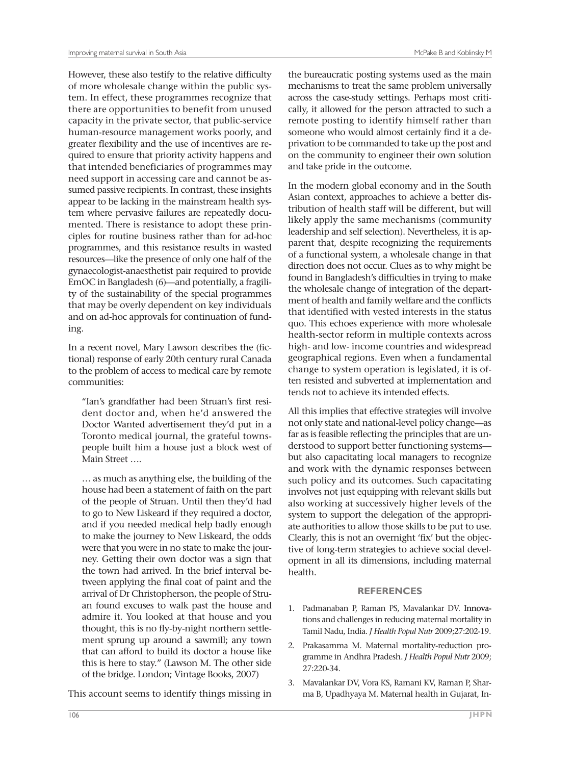However, these also testify to the relative difficulty of more wholesale change within the public system. In effect, these programmes recognize that there are opportunities to benefit from unused capacity in the private sector, that public-service human-resource management works poorly, and greater flexibility and the use of incentives are required to ensure that priority activity happens and that intended beneficiaries of programmes may need support in accessing care and cannot be assumed passive recipients. In contrast, these insights appear to be lacking in the mainstream health system where pervasive failures are repeatedly documented. There is resistance to adopt these principles for routine business rather than for ad-hoc programmes, and this resistance results in wasted resources—like the presence of only one half of the gynaecologist-anaesthetist pair required to provide EmOC in Bangladesh (6)—and potentially, a fragility of the sustainability of the special programmes that may be overly dependent on key individuals and on ad-hoc approvals for continuation of funding.

In a recent novel, Mary Lawson describes the (fictional) response of early 20th century rural Canada to the problem of access to medical care by remote communities:

"Ian's grandfather had been Struan's first resident doctor and, when he'd answered the Doctor Wanted advertisement they'd put in a Toronto medical journal, the grateful townspeople built him a house just a block west of Main Street ….

… as much as anything else, the building of the house had been a statement of faith on the part of the people of Struan. Until then they'd had to go to New Liskeard if they required a doctor, and if you needed medical help badly enough to make the journey to New Liskeard, the odds were that you were in no state to make the journey. Getting their own doctor was a sign that the town had arrived. In the brief interval between applying the final coat of paint and the arrival of Dr Christopherson, the people of Struan found excuses to walk past the house and admire it. You looked at that house and you thought, this is no fly-by-night northern settlement sprung up around a sawmill; any town that can afford to build its doctor a house like this is here to stay." (Lawson M. The other side of the bridge. London; Vintage Books, 2007)

This account seems to identify things missing in

privation to be commanded to take up the post and on the community to engineer their own solution

and take pride in the outcome.

In the modern global economy and in the South Asian context, approaches to achieve a better distribution of health staff will be different, but will likely apply the same mechanisms (community leadership and self selection). Nevertheless, it is apparent that, despite recognizing the requirements of a functional system, a wholesale change in that direction does not occur. Clues as to why might be found in Bangladesh's difficulties in trying to make the wholesale change of integration of the department of health and family welfare and the conflicts that identified with vested interests in the status quo. This echoes experience with more wholesale health-sector reform in multiple contexts across high- and low- income countries and widespread geographical regions. Even when a fundamental change to system operation is legislated, it is often resisted and subverted at implementation and tends not to achieve its intended effects.

All this implies that effective strategies will involve not only state and national-level policy change—as far as is feasible reflecting the principles that are understood to support better functioning systems but also capacitating local managers to recognize and work with the dynamic responses between such policy and its outcomes. Such capacitating involves not just equipping with relevant skills but also working at successively higher levels of the system to support the delegation of the appropriate authorities to allow those skills to be put to use. Clearly, this is not an overnight 'fix' but the objective of long-term strategies to achieve social development in all its dimensions, including maternal health.

#### **REFERENCES**

- 1. Padmanaban P, Raman PS, Mavalankar DV. Innovations and challenges in reducing maternal mortality in Tamil Nadu, India. *J Health Popul Nutr* 2009;27:202-19.
- 2. Prakasamma M. Maternal mortality-reduction programme in Andhra Pradesh. *J Health Popul Nutr* 2009; 27:220-34.
- 3. Mavalankar DV, Vora KS, Ramani KV, Raman P, Sharma B, Upadhyaya M. Maternal health in Gujarat, In-